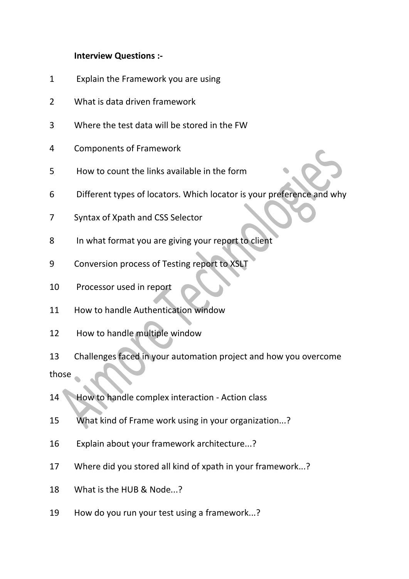## **Interview Questions :-**

- Explain the Framework you are using
- What is data driven framework
- Where the test data will be stored in the FW
- Components of Framework
- How to count the links available in the form
- Different types of locators. Which locator is your preference and why
- Syntax of Xpath and CSS Selector
- In what format you are giving your report to client
- Conversion process of Testing report to XSLT
- Processor used in report
- How to handle Authentication window
- How to handle multiple window
- Challenges faced in your automation project and how you overcome those
- 14 How to handle complex interaction Action class
- What kind of Frame work using in your organization...?
- Explain about your framework architecture...?
- Where did you stored all kind of xpath in your framework...?
- What is the HUB & Node...?
- How do you run your test using a framework...?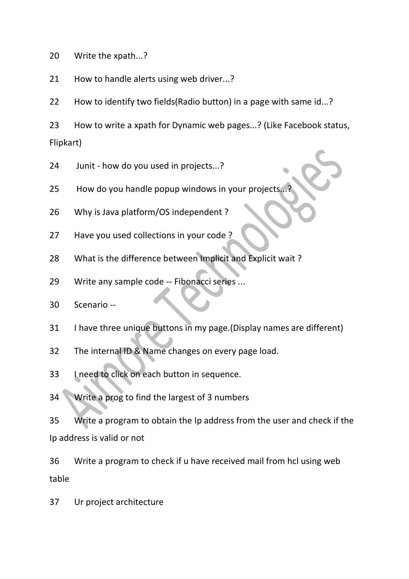Write the xpath...?

How to handle alerts using web driver...?

How to identify two fields(Radio button) in a page with same id...?

 How to write a xpath for Dynamic web pages...? (Like Facebook status, Flipkart)

24 Junit - how do you used in projects...?

25 How do you handle popup windows in your projects.

Why is Java platform/OS independent ?

Have you used collections in your code ?

What is the difference between Implicit and Explicit wait ?

Write any sample code -- Fibonacci series ...

Scenario --

I have three unique buttons in my page.(Display names are different)

The internal ID & Name changes on every page load.

I need to click on each button in sequence.

Write a prog to find the largest of 3 numbers

 Write a program to obtain the Ip address from the user and check if the Ip address is valid or not

 Write a program to check if u have received mail from hcl using web table

Ur project architecture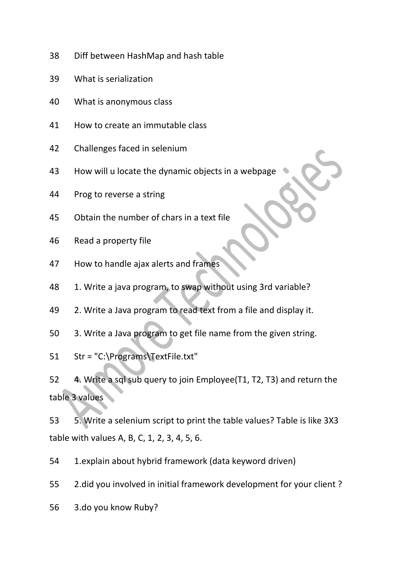- Diff between HashMap and hash table
- What is serialization
- What is anonymous class
- How to create an immutable class
- Challenges faced in selenium
- How will u locate the dynamic objects in a webpage
- Prog to reverse a string
- Obtain the number of chars in a text file
- Read a property file
- How to handle ajax alerts and frames
- 48 1. Write a java program, to swap without using 3rd variable?
- 2. Write a Java program to read text from a file and display it.
- 3. Write a Java program to get file name from the given string.
- Str = "C:\Programs\TextFile.txt"

 4. Write a sql sub query to join Employee(T1, T2, T3) and return the table 3 values

 5. Write a selenium script to print the table values? Table is like 3X3 table with values A, B, C, 1, 2, 3, 4, 5, 6.

1.explain about hybrid framework (data keyword driven)

2.did you involved in initial framework development for your client ?

3.do you know Ruby?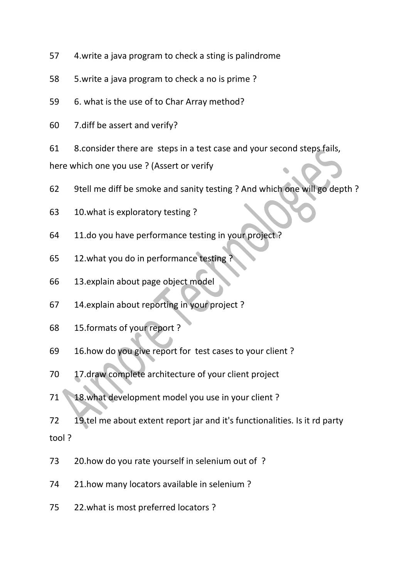- 4.write a java program to check a sting is palindrome
- 5.write a java program to check a no is prime ?
- 6. what is the use of to Char Array method?
- 7.diff be assert and verify?
- 8.consider there are steps in a test case and your second steps fails,

here which one you use ? (Assert or verify

- 9tell me diff be smoke and sanity testing ? And which one will go depth ?
- 10.what is exploratory testing ?
- 11.do you have performance testing in your project ?
- 65 12.what you do in performance testing
- 13.explain about page object model
- 14.explain about reporting in your project ?
- 15.formats of your report ?
- 16.how do you give report for test cases to your client ?
- 17.draw complete architecture of your client project
- 71 18.what development model you use in your client?
- 19.tel me about extent report jar and it's functionalities. Is it rd party tool ?
- 20.how do you rate yourself in selenium out of ?
- 21.how many locators available in selenium ?
- 22.what is most preferred locators ?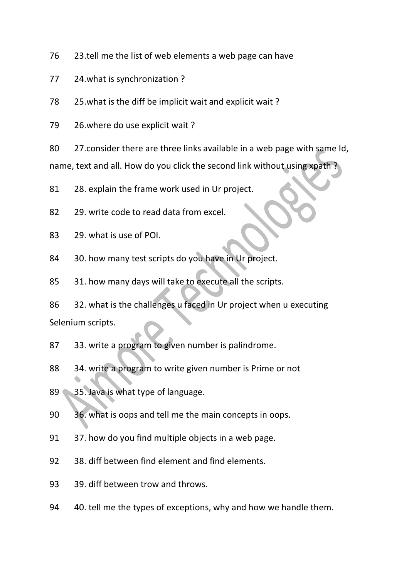23.tell me the list of web elements a web page can have

24.what is synchronization ?

25.what is the diff be implicit wait and explicit wait ?

26.where do use explicit wait ?

 27.consider there are three links available in a web page with same Id, name, text and all. How do you click the second link without using xpath ?

28. explain the frame work used in Ur project.

29. write code to read data from excel.

29. what is use of POI.

30. how many test scripts do you have in Ur project.

31. how many days will take to execute all the scripts.

 32. what is the challenges u faced in Ur project when u executing Selenium scripts.

33. write a program to given number is palindrome.

34. write a program to write given number is Prime or not

89 35. Java is what type of language.

36. what is oops and tell me the main concepts in oops.

37. how do you find multiple objects in a web page.

38. diff between find element and find elements.

39. diff between trow and throws.

40. tell me the types of exceptions, why and how we handle them.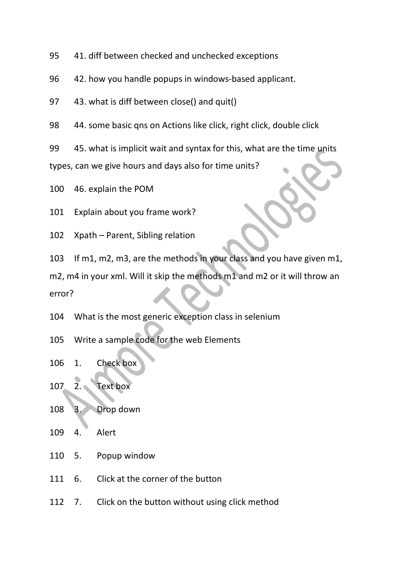41. diff between checked and unchecked exceptions

42. how you handle popups in windows-based applicant.

43. what is diff between close() and quit()

44. some basic qns on Actions like click, right click, double click

 45. what is implicit wait and syntax for this, what are the time units types, can we give hours and days also for time units?

46. explain the POM

Explain about you frame work?

Xpath – Parent, Sibling relation

If m1, m2, m3, are the methods in your class and you have given m1,

m2, m4 in your xml. Will it skip the methods m1 and m2 or it will throw an error?

What is the most generic exception class in selenium

Write a sample code for the web Elements

1. Check box

2. Text box

3. Drop down

4. Alert

5. Popup window

6. Click at the corner of the button

7. Click on the button without using click method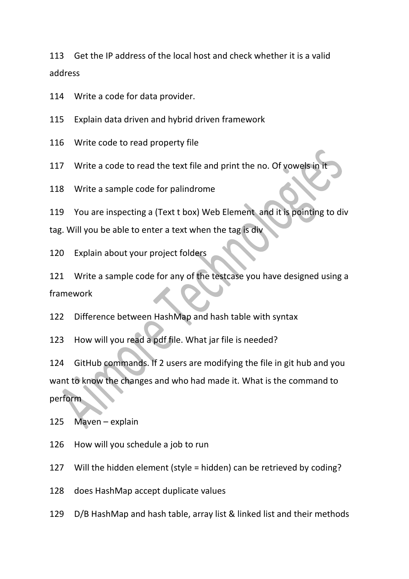Get the IP address of the local host and check whether it is a valid address

Write a code for data provider.

Explain data driven and hybrid driven framework

Write code to read property file

117 Write a code to read the text file and print the no. Of vowels in

Write a sample code for palindrome

You are inspecting a (Text t box) Web Element and it is pointing to div

tag. Will you be able to enter a text when the tag is div

Explain about your project folders

 Write a sample code for any of the testcase you have designed using a framework

Difference between HashMap and hash table with syntax

How will you read a pdf file. What jar file is needed?

 GitHub commands. If 2 users are modifying the file in git hub and you want to know the changes and who had made it. What is the command to perform

Maven – explain

How will you schedule a job to run

Will the hidden element (style = hidden) can be retrieved by coding?

does HashMap accept duplicate values

D/B HashMap and hash table, array list & linked list and their methods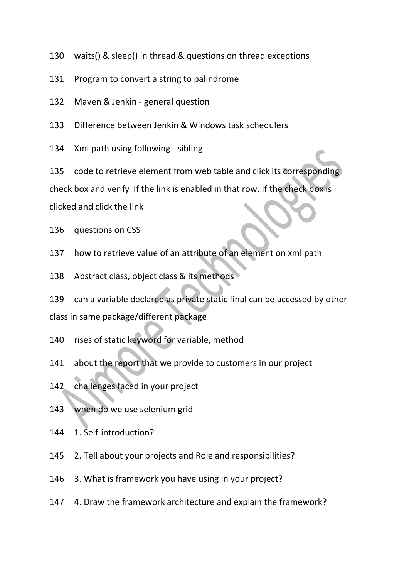- waits() & sleep() in thread & questions on thread exceptions
- Program to convert a string to palindrome
- Maven & Jenkin general question
- Difference between Jenkin & Windows task schedulers
- Xml path using following sibling

 code to retrieve element from web table and click its corresponding check box and verify If the link is enabled in that row. If the check box is clicked and click the link

- questions on CSS
- how to retrieve value of an attribute of an element on xml path
- Abstract class, object class & its methods

 can a variable declared as private static final can be accessed by other class in same package/different package

- rises of static keyword for variable, method
- about the report that we provide to customers in our project
- challenges faced in your project
- when do we use selenium grid
- 1. Self-introduction?
- 2. Tell about your projects and Role and responsibilities?
- 3. What is framework you have using in your project?
- 4. Draw the framework architecture and explain the framework?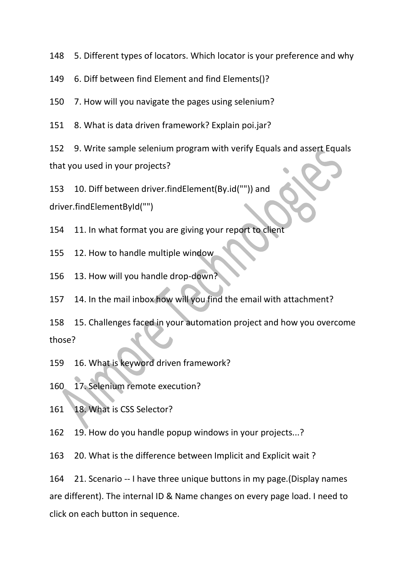5. Different types of locators. Which locator is your preference and why

6. Diff between find Element and find Elements()?

7. How will you navigate the pages using selenium?

8. What is data driven framework? Explain poi.jar?

 9. Write sample selenium program with verify Equals and assert Equals that you used in your projects?

10. Diff between driver.findElement(By.id("")) and

driver.findElementById("")

11. In what format you are giving your report to client

12. How to handle multiple window

13. How will you handle drop-down?

14. In the mail inbox how will you find the email with attachment?

 15. Challenges faced in your automation project and how you overcome those?

16. What is keyword driven framework?

17. Selenium remote execution?

18. What is CSS Selector?

19. How do you handle popup windows in your projects...?

20. What is the difference between Implicit and Explicit wait ?

 21. Scenario -- I have three unique buttons in my page.(Display names are different). The internal ID & Name changes on every page load. I need to click on each button in sequence.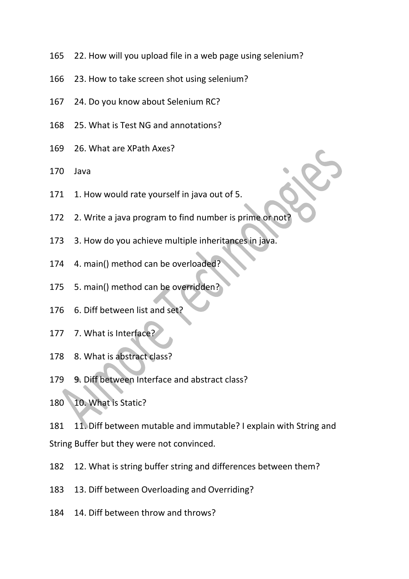- 22. How will you upload file in a web page using selenium?
- 23. How to take screen shot using selenium?
- 24. Do you know about Selenium RC?
- 25. What is Test NG and annotations?
- 26. What are XPath Axes?
- Java
- 171 1. How would rate yourself in java out of 5.
- 172 2. Write a java program to find number is prime or not
- 3. How do you achieve multiple inheritances in java.
- 4. main() method can be overloaded?
- 5. main() method can be overridden?
- 6. Diff between list and set?
- 7. What is Interface?
- 8. What is abstract class?
- 9. Diff between Interface and abstract class?
- 10. What is Static?

 11. Diff between mutable and immutable? I explain with String and String Buffer but they were not convinced.

- 12. What is string buffer string and differences between them?
- 13. Diff between Overloading and Overriding?
- 14. Diff between throw and throws?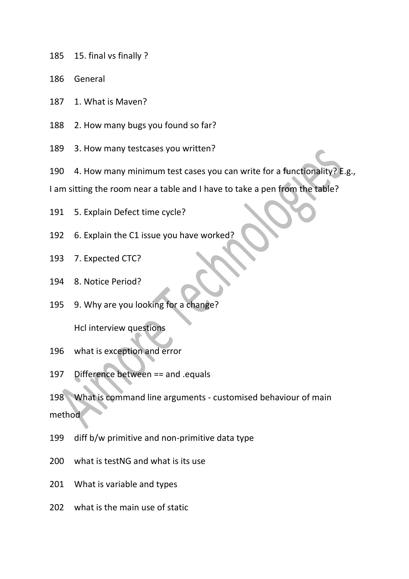- 15. final vs finally ?
- General
- 1. What is Maven?
- 2. How many bugs you found so far?
- 3. How many testcases you written?
- 4. How many minimum test cases you can write for a functionality? E.g.,

I am sitting the room near a table and I have to take a pen from the table?

- 5. Explain Defect time cycle?
- 6. Explain the C1 issue you have worked?
- 7. Expected CTC?
- 8. Notice Period?
- 9. Why are you looking for a change?

Hcl interview questions

- what is exception and error
- Difference between == and .equals

 What is command line arguments - customised behaviour of main method

- diff b/w primitive and non-primitive data type
- what is testNG and what is its use
- What is variable and types
- what is the main use of static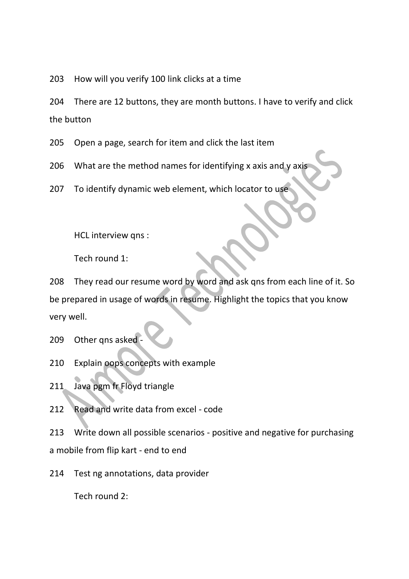203 How will you verify 100 link clicks at a time

204 There are 12 buttons, they are month buttons. I have to verify and click the button

205 Open a page, search for item and click the last item

206 What are the method names for identifying x axis and y axis

207 To identify dynamic web element, which locator to use

HCL interview qns :

Tech round 1:

208 They read our resume word by word and ask qns from each line of it. So be prepared in usage of words in resume. Highlight the topics that you know very well.

209 Other qns asked

- 210 Explain oops concepts with example
- 211 Java pgm fr Floyd triangle
- 212 Read and write data from excel code

213 Write down all possible scenarios - positive and negative for purchasing a mobile from flip kart - end to end

214 Test ng annotations, data provider

Tech round 2: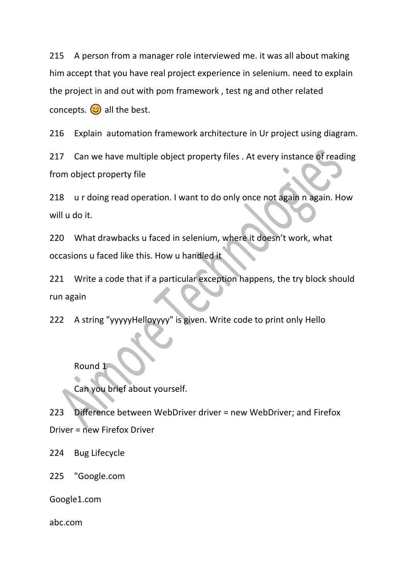215 A person from a manager role interviewed me. it was all about making him accept that you have real project experience in selenium. need to explain the project in and out with pom framework , test ng and other related concepts.  $\odot$  all the best.

216 Explain automation framework architecture in Ur project using diagram.

217 Can we have multiple object property files . At every instance of reading from object property file

218 u r doing read operation. I want to do only once not again n again. How will u do it.

220 What drawbacks u faced in selenium, where it doesn't work, what occasions u faced like this. How u handled it

221 Write a code that if a particular exception happens, the try block should run again

222 A string "yyyyyHelloyyyy" is given. Write code to print only Hello

Round 1

Can you brief about yourself.

223 Difference between WebDriver driver = new WebDriver; and Firefox Driver = new Firefox Driver

224 Bug Lifecycle

225 "Google.com

Google1.com

abc.com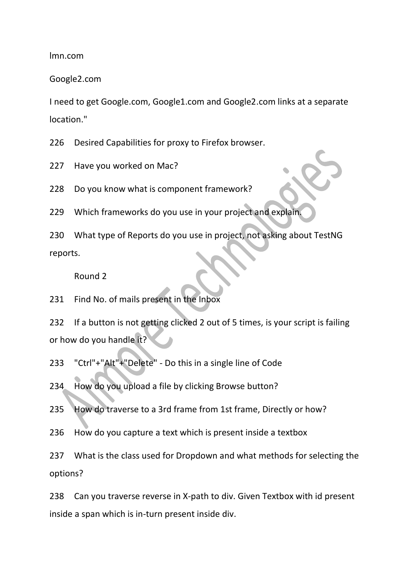lmn.com

Google2.com

I need to get Google.com, Google1.com and Google2.com links at a separate location."

226 Desired Capabilities for proxy to Firefox browser.

227 Have you worked on Mac?

228 Do you know what is component framework?

229 Which frameworks do you use in your project and explain.

230 What type of Reports do you use in project, not asking about TestNG reports.

Round 2

231 Find No. of mails present in the Inbox

232 If a button is not getting clicked 2 out of 5 times, is your script is failing or how do you handle it?

233 "Ctrl"+"Alt"+"Delete" - Do this in a single line of Code

234 How do you upload a file by clicking Browse button?

235 How do traverse to a 3rd frame from 1st frame, Directly or how?

236 How do you capture a text which is present inside a textbox

237 What is the class used for Dropdown and what methods for selecting the options?

238 Can you traverse reverse in X-path to div. Given Textbox with id present inside a span which is in-turn present inside div.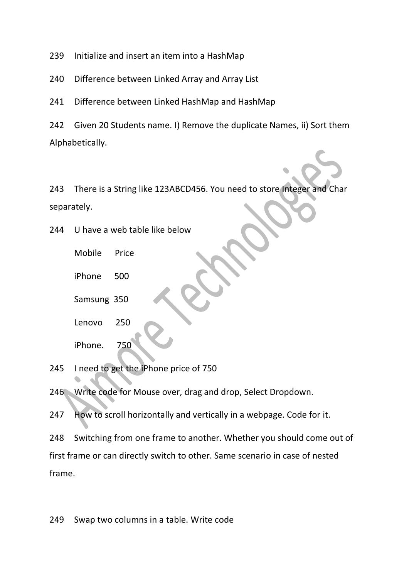239 Initialize and insert an item into a HashMap

240 Difference between Linked Array and Array List

241 Difference between Linked HashMap and HashMap

242 Given 20 Students name. I) Remove the duplicate Names, ii) Sort them Alphabetically.

243 There is a String like 123ABCD456. You need to store Integer and Char separately.

244 U have a web table like below

Mobile Price

iPhone 500

Samsung 350

Lenovo 250

iPhone. 750

245 I need to get the iPhone price of 750

246 Write code for Mouse over, drag and drop, Select Dropdown.

247 How to scroll horizontally and vertically in a webpage. Code for it.

248 Switching from one frame to another. Whether you should come out of first frame or can directly switch to other. Same scenario in case of nested frame.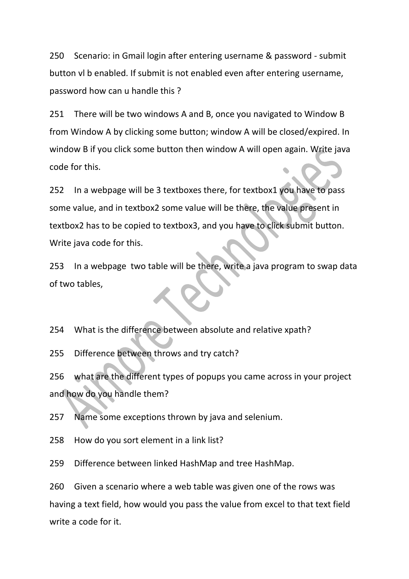250 Scenario: in Gmail login after entering username & password - submit button vl b enabled. If submit is not enabled even after entering username, password how can u handle this ?

251 There will be two windows A and B, once you navigated to Window B from Window A by clicking some button; window A will be closed/expired. In window B if you click some button then window A will open again. Write java code for this.

252 In a webpage will be 3 textboxes there, for textbox1 you have to pass some value, and in textbox2 some value will be there, the value present in textbox2 has to be copied to textbox3, and you have to click submit button. Write java code for this.

253 In a webpage two table will be there, write a java program to swap data of two tables,

254 What is the difference between absolute and relative xpath?

255 Difference between throws and try catch?

256 what are the different types of popups you came across in your project and how do you handle them?

257 Name some exceptions thrown by java and selenium.

258 How do you sort element in a link list?

259 Difference between linked HashMap and tree HashMap.

260 Given a scenario where a web table was given one of the rows was having a text field, how would you pass the value from excel to that text field write a code for it.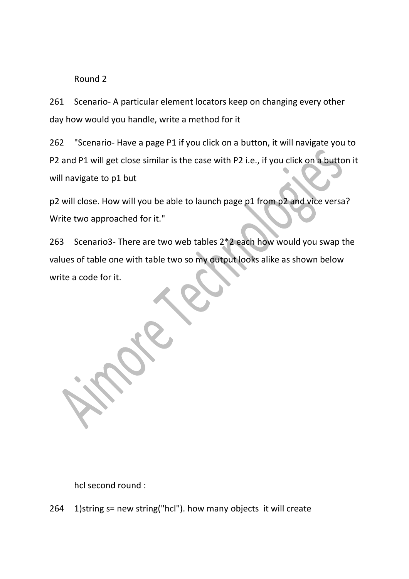## Round 2

261 Scenario- A particular element locators keep on changing every other day how would you handle, write a method for it

262 "Scenario- Have a page P1 if you click on a button, it will navigate you to P2 and P1 will get close similar is the case with P2 i.e., if you click on a button it will navigate to p1 but

p2 will close. How will you be able to launch page p1 from p2 and vice versa? Write two approached for it."

263 Scenario3- There are two web tables 2\*2 each how would you swap the values of table one with table two so my output looks alike as shown below write a code for it.

hcl second round :

264 1)string s= new string("hcl"). how many objects it will create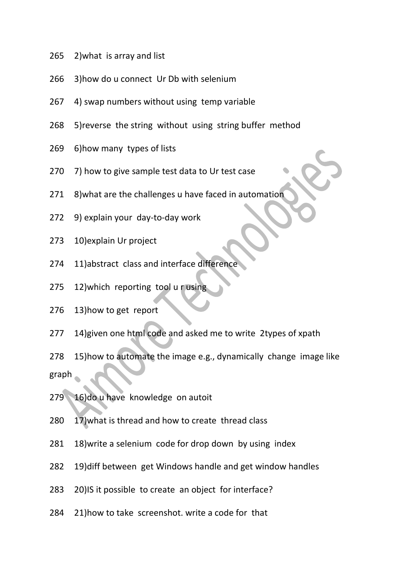- 2)what is array and list
- 3)how do u connect Ur Db with selenium
- 4) swap numbers without using temp variable
- 5)reverse the string without using string buffer method
- 6)how many types of lists
- 7) how to give sample test data to Ur test case
- 8)what are the challenges u have faced in automation
- 9) explain your day-to-day work
- 10)explain Ur project
- 11)abstract class and interface difference
- 12)which reporting tool u r using
- 13)how to get report
- 14)given one html code and asked me to write 2types of xpath
- 15)how to automate the image e.g., dynamically change image like graph
- 279 16)do u have knowledge on autoit
- 17)what is thread and how to create thread class
- 18)write a selenium code for drop down by using index
- 19)diff between get Windows handle and get window handles
- 20)IS it possible to create an object for interface?
- 21)how to take screenshot. write a code for that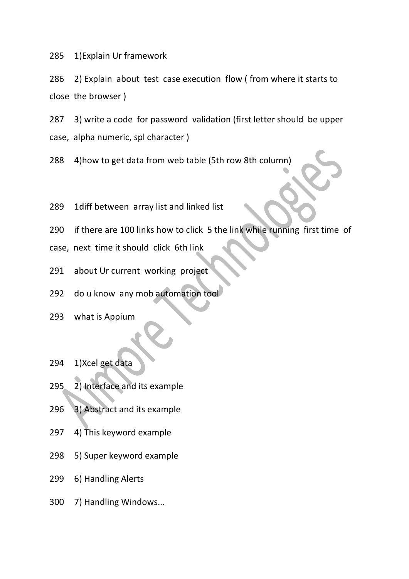1)Explain Ur framework

 2) Explain about test case execution flow ( from where it starts to close the browser )

 3) write a code for password validation (first letter should be upper case, alpha numeric, spl character )

4)how to get data from web table (5th row 8th column)

- 1diff between array list and linked list
- if there are 100 links how to click 5 the link while running first time of
- case, next time it should click 6th link
- about Ur current working project
- 292 do u know any mob automation tool
- what is Appium
- 1)Xcel get data
- 2) Interface and its example
- 3) Abstract and its example
- 4) This keyword example
- 5) Super keyword example
- 6) Handling Alerts
- 7) Handling Windows...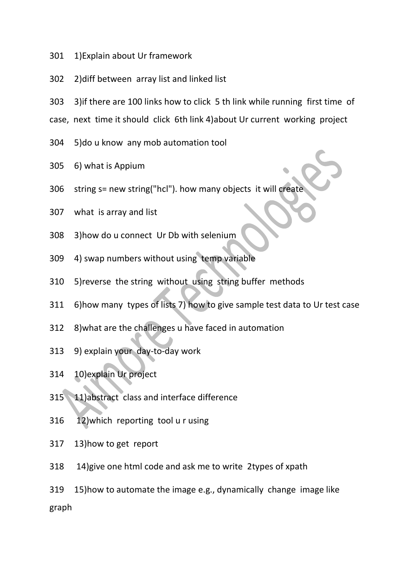- 1)Explain about Ur framework
- 2)diff between array list and linked list
- 3)if there are 100 links how to click 5 th link while running first time of

case, next time it should click 6th link 4)about Ur current working project

- 5)do u know any mob automation tool
- 6) what is Appium
- string s= new string("hcl"). how many objects it will create
- what is array and list
- 3)how do u connect Ur Db with selenium
- 4) swap numbers without using temp variable
- 5)reverse the string without using string buffer methods
- 6)how many types of lists 7) how to give sample test data to Ur test case
- 8)what are the challenges u have faced in automation
- 9) explain your day-to-day work
- 10)explain Ur project
- 11)abstract class and interface difference
- 12)which reporting tool u r using
- 13)how to get report
- 14)give one html code and ask me to write 2types of xpath
- 15)how to automate the image e.g., dynamically change image like graph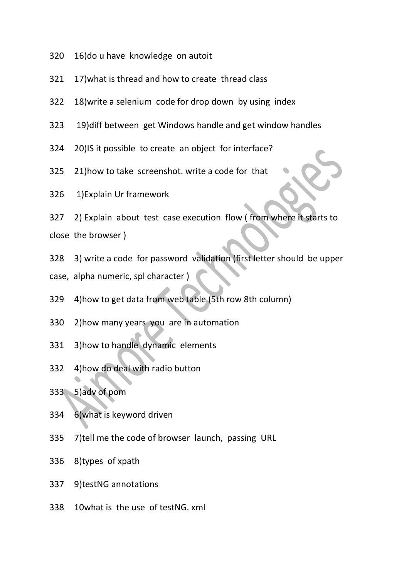- 16)do u have knowledge on autoit
- 17)what is thread and how to create thread class
- 18)write a selenium code for drop down by using index
- 19)diff between get Windows handle and get window handles
- 20)IS it possible to create an object for interface?
- 21)how to take screenshot. write a code for that
- 1)Explain Ur framework

 2) Explain about test case execution flow ( from where it starts to close the browser )

 3) write a code for password validation (first letter should be upper case, alpha numeric, spl character )

- 4)how to get data from web table (5th row 8th column)
- 2)how many years you are in automation
- 3)how to handle dynamic elements
- 4)how do deal with radio button
- 5)adv of pom
- 6)what is keyword driven
- 7)tell me the code of browser launch, passing URL
- 8)types of xpath
- 9)testNG annotations
- 10what is the use of testNG. xml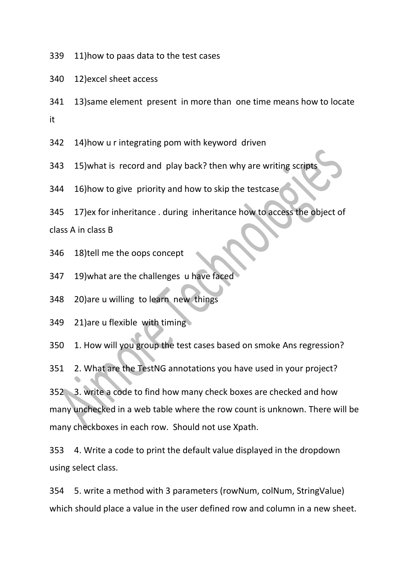11)how to paas data to the test cases

12)excel sheet access

 13)same element present in more than one time means how to locate it

14)how u r integrating pom with keyword driven

343 15) what is record and play back? then why are writing scripts

16)how to give priority and how to skip the testcase

17)ex for inheritance . during inheritance how to access the object of

class A in class B

- 18)tell me the oops concept
- 19)what are the challenges u have faced

20)are u willing to learn new things

21)are u flexible with timing

1. How will you group the test cases based on smoke Ans regression?

2. What are the TestNG annotations you have used in your project?

 3. write a code to find how many check boxes are checked and how many unchecked in a web table where the row count is unknown. There will be many checkboxes in each row. Should not use Xpath.

 4. Write a code to print the default value displayed in the dropdown using select class.

 5. write a method with 3 parameters (rowNum, colNum, StringValue) which should place a value in the user defined row and column in a new sheet.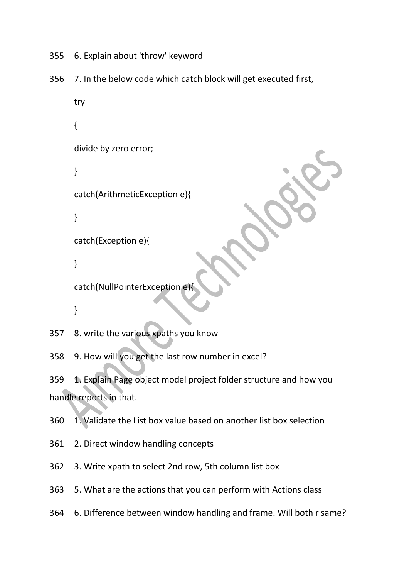- 355 6. Explain about 'throw' keyword
- 356 7. In the below code which catch block will get executed first,

```
try
{
divide by zero error;
}
catch(ArithmeticException e){
}
catch(Exception e){
}
catch(NullPointerException e){
}
```
357 8. write the various xpaths you know

358 9. How will you get the last row number in excel?

359 1. Explain Page object model project folder structure and how you handle reports in that.

360 1. Validate the List box value based on another list box selection

361 2. Direct window handling concepts

362 3. Write xpath to select 2nd row, 5th column list box

363 5. What are the actions that you can perform with Actions class

364 6. Difference between window handling and frame. Will both r same?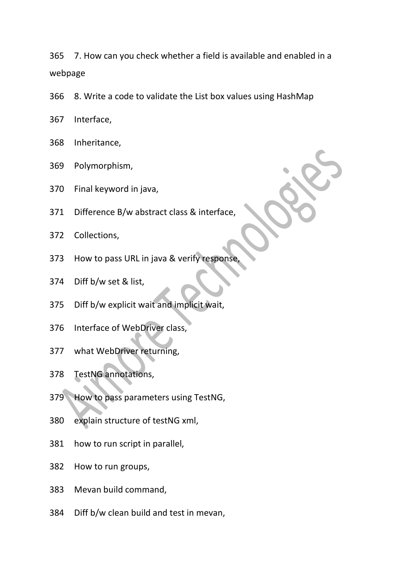7. How can you check whether a field is available and enabled in a webpage

- 8. Write a code to validate the List box values using HashMap
- Interface,
- Inheritance,
- Polymorphism,
- Final keyword in java,
- Difference B/w abstract class & interface,
- Collections,
- 373 How to pass URL in java & verify response
- Diff b/w set & list,
- Diff b/w explicit wait and implicit wait,
- Interface of WebDriver class,
- what WebDriver returning,
- TestNG annotations,
- How to pass parameters using TestNG,
- explain structure of testNG xml,
- how to run script in parallel,
- How to run groups,
- Mevan build command,
- Diff b/w clean build and test in mevan,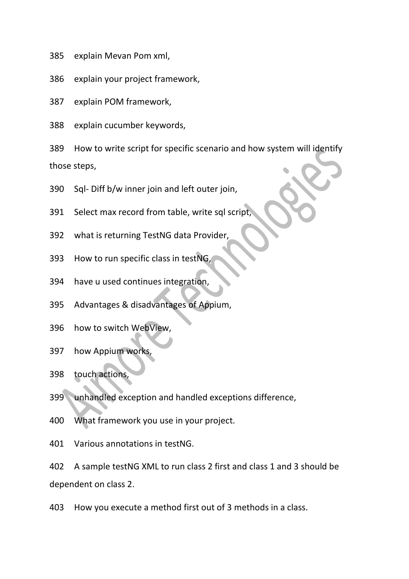- explain Mevan Pom xml,
- explain your project framework,
- explain POM framework,
- explain cucumber keywords,

 How to write script for specific scenario and how system will identify those steps,

- Sql- Diff b/w inner join and left outer join,
- Select max record from table, write sql script,
- what is returning TestNG data Provider,
- How to run specific class in testNG,
- have u used continues integration,
- Advantages & disadvantages of Appium,
- how to switch WebView,
- how Appium works,
- touch actions,
- unhandled exception and handled exceptions difference,
- What framework you use in your project.
- Various annotations in testNG.

 A sample testNG XML to run class 2 first and class 1 and 3 should be dependent on class 2.

How you execute a method first out of 3 methods in a class.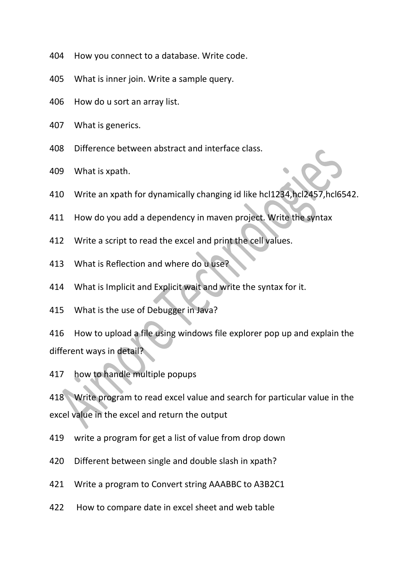- How you connect to a database. Write code.
- What is inner join. Write a sample query.
- How do u sort an array list.
- What is generics.
- Difference between abstract and interface class.
- What is xpath.
- Write an xpath for dynamically changing id like hcl1234,hcl2457,hcl6542.
- How do you add a dependency in maven project. Write the syntax
- Write a script to read the excel and print the cell values.
- What is Reflection and where do u use?
- What is Implicit and Explicit wait and write the syntax for it.
- What is the use of Debugger in Java?

 How to upload a file using windows file explorer pop up and explain the different ways in detail?

how to handle multiple popups

 Write program to read excel value and search for particular value in the excel value in the excel and return the output

- write a program for get a list of value from drop down
- Different between single and double slash in xpath?
- Write a program to Convert string AAABBC to A3B2C1
- How to compare date in excel sheet and web table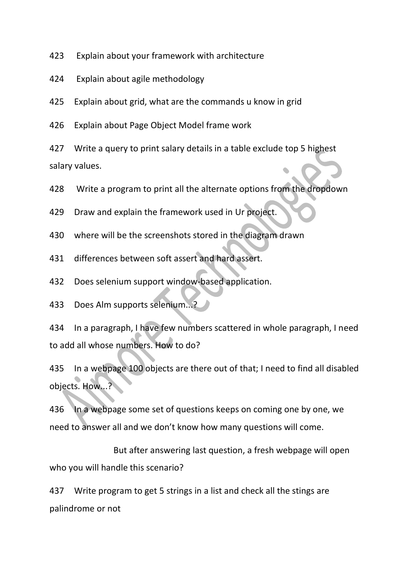Explain about your framework with architecture

Explain about agile methodology

Explain about grid, what are the commands u know in grid

Explain about Page Object Model frame work

 Write a query to print salary details in a table exclude top 5 highest salary values.

Write a program to print all the alternate options from the dropdown

Draw and explain the framework used in Ur project.

where will be the screenshots stored in the diagram drawn

differences between soft assert and hard assert.

Does selenium support window-based application.

Does Alm supports selenium...?

 In a paragraph, I have few numbers scattered in whole paragraph, I need to add all whose numbers. How to do?

 In a webpage 100 objects are there out of that; I need to find all disabled objects. How...?

 In a webpage some set of questions keeps on coming one by one, we need to answer all and we don't know how many questions will come.

 But after answering last question, a fresh webpage will open who you will handle this scenario?

 Write program to get 5 strings in a list and check all the stings are palindrome or not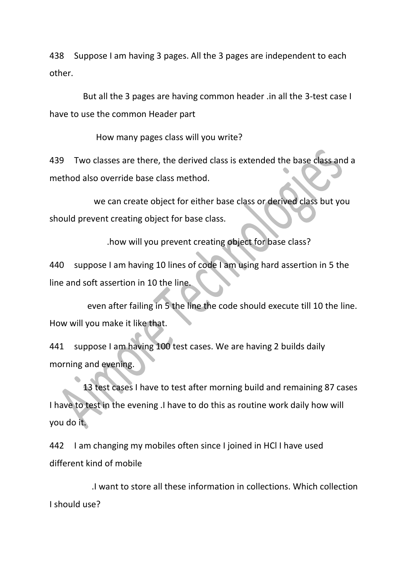438 Suppose I am having 3 pages. All the 3 pages are independent to each other.

 But all the 3 pages are having common header .in all the 3-test case I have to use the common Header part

How many pages class will you write?

439 Two classes are there, the derived class is extended the base class and a method also override base class method.

 we can create object for either base class or derived class but you should prevent creating object for base class.

.how will you prevent creating object for base class?

440 suppose I am having 10 lines of code I am using hard assertion in 5 the line and soft assertion in 10 the line.

 even after failing in 5 the line the code should execute till 10 the line. How will you make it like that.

441 suppose I am having 100 test cases. We are having 2 builds daily morning and evening.

 13 test cases I have to test after morning build and remaining 87 cases I have to test in the evening .I have to do this as routine work daily how will you do it.

442 I am changing my mobiles often since I joined in HCl I have used different kind of mobile

 .I want to store all these information in collections. Which collection I should use?